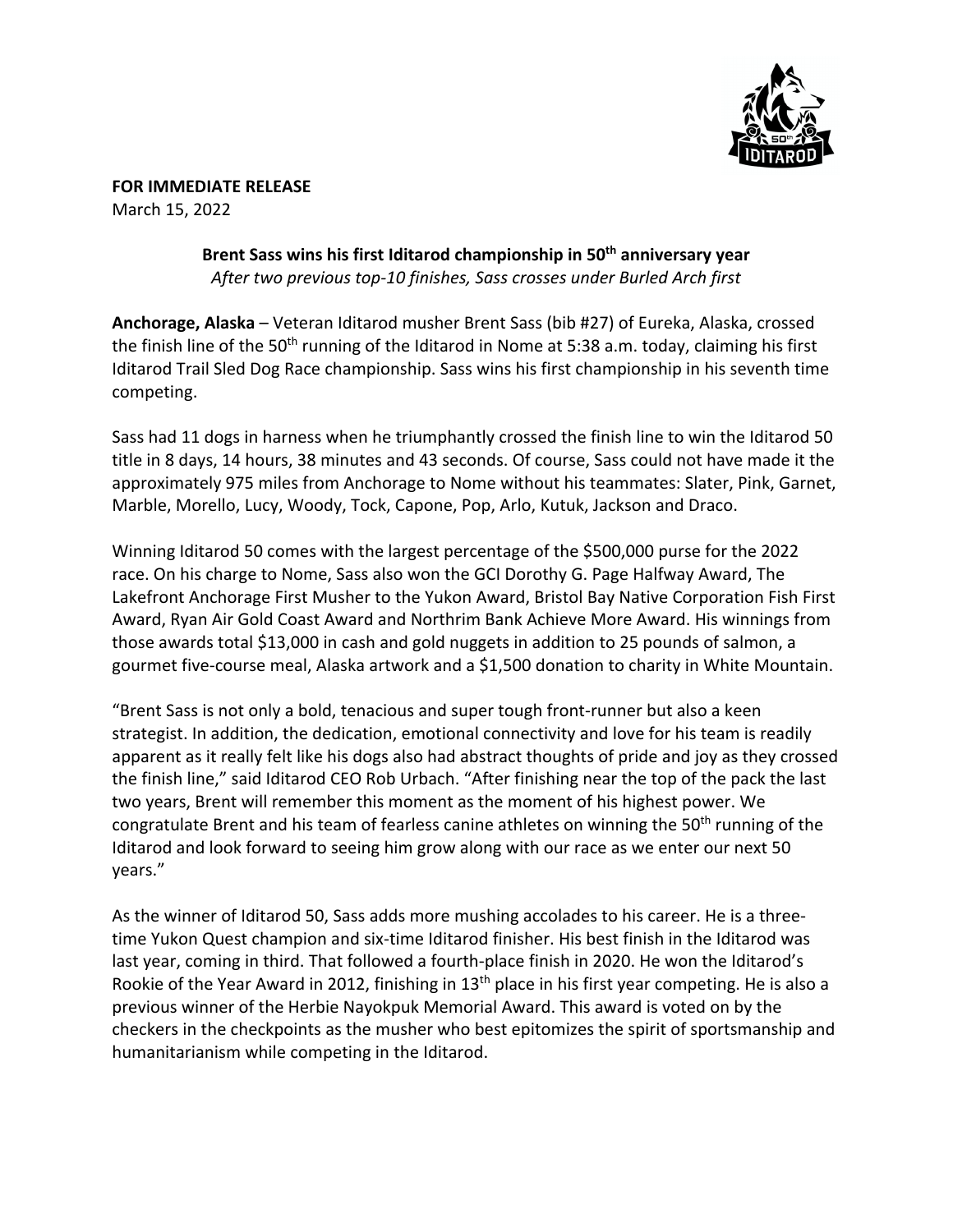

**FOR IMMEDIATE RELEASE** March 15, 2022

> **Brent Sass wins his first Iditarod championship in 50th anniversary year** *After two previous top-10 finishes, Sass crosses under Burled Arch first*

**Anchorage, Alaska** – Veteran Iditarod musher Brent Sass (bib #27) of Eureka, Alaska, crossed the finish line of the 50<sup>th</sup> running of the Iditarod in Nome at 5:38 a.m. today, claiming his first Iditarod Trail Sled Dog Race championship. Sass wins his first championship in his seventh time competing.

Sass had 11 dogs in harness when he triumphantly crossed the finish line to win the Iditarod 50 title in 8 days, 14 hours, 38 minutes and 43 seconds. Of course, Sass could not have made it the approximately 975 miles from Anchorage to Nome without his teammates: Slater, Pink, Garnet, Marble, Morello, Lucy, Woody, Tock, Capone, Pop, Arlo, Kutuk, Jackson and Draco.

Winning Iditarod 50 comes with the largest percentage of the \$500,000 purse for the 2022 race. On his charge to Nome, Sass also won the GCI Dorothy G. Page Halfway Award, The Lakefront Anchorage First Musher to the Yukon Award, Bristol Bay Native Corporation Fish First Award, Ryan Air Gold Coast Award and Northrim Bank Achieve More Award. His winnings from those awards total \$13,000 in cash and gold nuggets in addition to 25 pounds of salmon, a gourmet five-course meal, Alaska artwork and a \$1,500 donation to charity in White Mountain.

"Brent Sass is not only a bold, tenacious and super tough front-runner but also a keen strategist. In addition, the dedication, emotional connectivity and love for his team is readily apparent as it really felt like his dogs also had abstract thoughts of pride and joy as they crossed the finish line," said Iditarod CEO Rob Urbach. "After finishing near the top of the pack the last two years, Brent will remember this moment as the moment of his highest power. We congratulate Brent and his team of fearless canine athletes on winning the 50<sup>th</sup> running of the Iditarod and look forward to seeing him grow along with our race as we enter our next 50 years."

As the winner of Iditarod 50, Sass adds more mushing accolades to his career. He is a threetime Yukon Quest champion and six-time Iditarod finisher. His best finish in the Iditarod was last year, coming in third. That followed a fourth-place finish in 2020. He won the Iditarod's Rookie of the Year Award in 2012, finishing in 13<sup>th</sup> place in his first year competing. He is also a previous winner of the Herbie Nayokpuk Memorial Award. This award is voted on by the checkers in the checkpoints as the musher who best epitomizes the spirit of sportsmanship and humanitarianism while competing in the Iditarod.